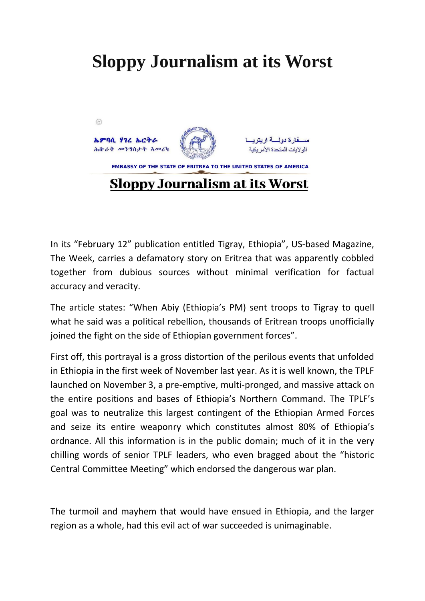## **Sloppy Journalism at its Worst**



In its "February 12" publication entitled Tigray, Ethiopia", US-based Magazine, The Week, carries a defamatory story on Eritrea that was apparently cobbled together from dubious sources without minimal verification for factual accuracy and veracity.

The article states: "When Abiy (Ethiopia's PM) sent troops to Tigray to quell what he said was a political rebellion, thousands of Eritrean troops unofficially joined the fight on the side of Ethiopian government forces".

First off, this portrayal is a gross distortion of the perilous events that unfolded in Ethiopia in the first week of November last year. As it is well known, the TPLF launched on November 3, a pre-emptive, multi-pronged, and massive attack on the entire positions and bases of Ethiopia's Northern Command. The TPLF's goal was to neutralize this largest contingent of the Ethiopian Armed Forces and seize its entire weaponry which constitutes almost 80% of Ethiopia's ordnance. All this information is in the public domain; much of it in the very chilling words of senior TPLF leaders, who even bragged about the "historic Central Committee Meeting" which endorsed the dangerous war plan.

The turmoil and mayhem that would have ensued in Ethiopia, and the larger region as a whole, had this evil act of war succeeded is unimaginable.